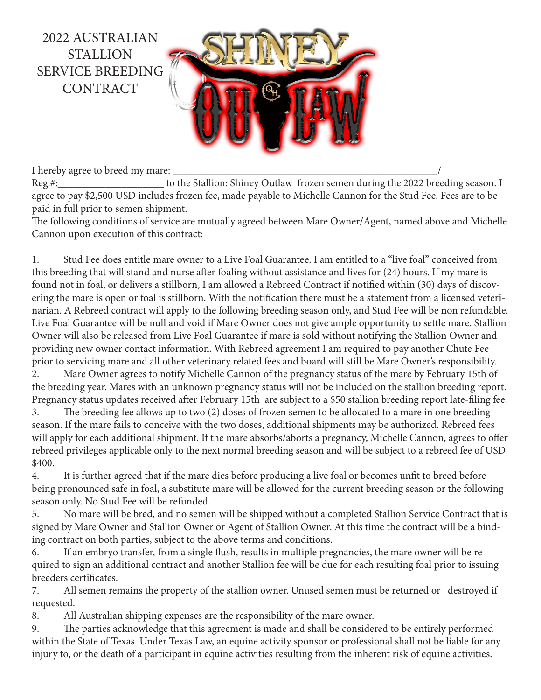

I hereby agree to breed my mare: Reg.#: to the Stallion: Shiney Outlaw frozen semen during the 2022 breeding season. I agree to pay \$2,500 USD includes frozen fee, made payable to Michelle Cannon for the Stud Fee. Fees are to be paid in full prior to semen shipment.

The following conditions of service are mutually agreed between Mare Owner/Agent, named above and Michelle Cannon upon execution of this contract:

1. Stud Fee does entitle mare owner to a Live Foal Guarantee. I am entitled to a "live foal" conceived from this breeding that will stand and nurse after foaling without assistance and lives for (24) hours. If my mare is found not in foal, or delivers a stillborn, I am allowed a Rebreed Contract if notified within (30) days of discovering the mare is open or foal is stillborn. With the notification there must be a statement from a licensed veterinarian. A Rebreed contract will apply to the following breeding season only, and Stud Fee will be non refundable. Live Foal Guarantee will be null and void if Mare Owner does not give ample opportunity to settle mare. Stallion Owner will also be released from Live Foal Guarantee if mare is sold without notifying the Stallion Owner and providing new owner contact information. With Rebreed agreement I am required to pay another Chute Fee prior to servicing mare and all other veterinary related fees and board will still be Mare Owner's responsibility.

2. Mare Owner agrees to notify Michelle Cannon of the pregnancy status of the mare by February 15th of the breeding year. Mares with an unknown pregnancy status will not be included on the stallion breeding report. Pregnancy status updates received after February 15th are subject to a \$50 stallion breeding report late-filing fee.

3. The breeding fee allows up to two (2) doses of frozen semen to be allocated to a mare in one breeding season. If the mare fails to conceive with the two doses, additional shipments may be authorized. Rebreed fees will apply for each additional shipment. If the mare absorbs/aborts a pregnancy, Michelle Cannon, agrees to offer rebreed privileges applicable only to the next normal breeding season and will be subject to a rebreed fee of USD \$400.

4. It is further agreed that if the mare dies before producing a live foal or becomes unfit to breed before being pronounced safe in foal, a substitute mare will be allowed for the current breeding season or the following season only. No Stud Fee will be refunded.

5. No mare will be bred, and no semen will be shipped without a completed Stallion Service Contract that is signed by Mare Owner and Stallion Owner or Agent of Stallion Owner. At this time the contract will be a binding contract on both parties, subject to the above terms and conditions.

6. If an embryo transfer, from a single flush, results in multiple pregnancies, the mare owner will be required to sign an additional contract and another Stallion fee will be due for each resulting foal prior to issuing breeders certificates.

7. All semen remains the property of the stallion owner. Unused semen must be returned or destroyed if requested.

8. All Australian shipping expenses are the responsibility of the mare owner.

9. The parties acknowledge that this agreement is made and shall be considered to be entirely performed within the State of Texas. Under Texas Law, an equine activity sponsor or professional shall not be liable for any injury to, or the death of a participant in equine activities resulting from the inherent risk of equine activities.